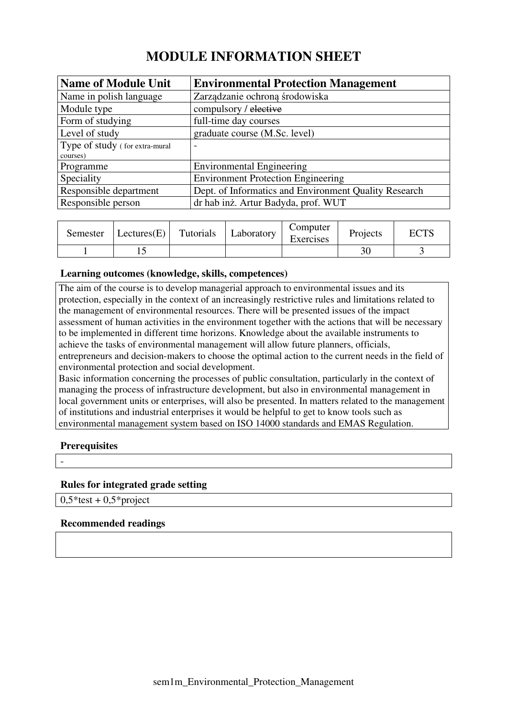# **MODULE INFORMATION SHEET**

| <b>Name of Module Unit</b>     | <b>Environmental Protection Management</b>            |
|--------------------------------|-------------------------------------------------------|
| Name in polish language        | Zarządzanie ochroną środowiska                        |
| Module type                    | compulsory / elective                                 |
| Form of studying               | full-time day courses                                 |
| Level of study                 | graduate course (M.Sc. level)                         |
| Type of study (for extra-mural | $\overline{\phantom{0}}$                              |
| courses)                       |                                                       |
| Programme                      | <b>Environmental Engineering</b>                      |
| Speciality                     | <b>Environment Protection Engineering</b>             |
| Responsible department         | Dept. of Informatics and Environment Quality Research |
| Responsible person             | dr hab inż. Artur Badyda, prof. WUT                   |

| Semester | Lectures(E) | Tutorials | Laboratory | Computer<br>Exercises | Projects | TCTC<br>EU 15 |
|----------|-------------|-----------|------------|-----------------------|----------|---------------|
|          |             |           |            |                       |          |               |

#### **Learning outcomes (knowledge, skills, competences)**

The aim of the course is to develop managerial approach to environmental issues and its protection, especially in the context of an increasingly restrictive rules and limitations related to the management of environmental resources. There will be presented issues of the impact assessment of human activities in the environment together with the actions that will be necessary to be implemented in different time horizons. Knowledge about the available instruments to achieve the tasks of environmental management will allow future planners, officials, entrepreneurs and decision-makers to choose the optimal action to the current needs in the field of environmental protection and social development.

Basic information concerning the processes of public consultation, particularly in the context of managing the process of infrastructure development, but also in environmental management in local government units or enterprises, will also be presented. In matters related to the management of institutions and industrial enterprises it would be helpful to get to know tools such as environmental management system based on ISO 14000 standards and EMAS Regulation.

### **Prerequisites**

### **Rules for integrated grade setting**

 $0.5*$ test +  $0.5*$ project

#### **Recommended readings**